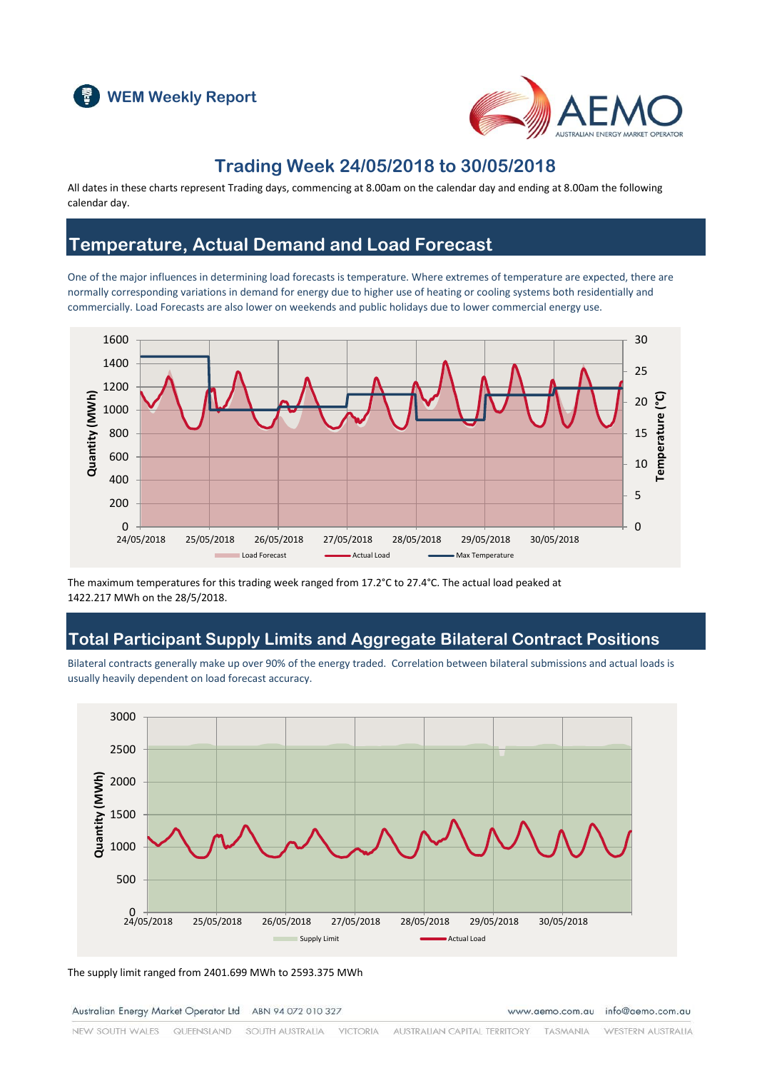



## **Trading Week 24/05/2018 to 30/05/2018**

All dates in these charts represent Trading days, commencing at 8.00am on the calendar day and ending at 8.00am the following calendar day.

## **Temperature, Actual Demand and Load Forecast**

One of the major influences in determining load forecasts is temperature. Where extremes of temperature are expected, there are normally corresponding variations in demand for energy due to higher use of heating or cooling systems both residentially and commercially. Load Forecasts are also lower on weekends and public holidays due to lower commercial energy use.



The maximum temperatures for this trading week ranged from 17.2°C to 27.4°C. The actual load peaked at 1422.217 MWh on the 28/5/2018.

## **Total Participant Supply Limits and Aggregate Bilateral Contract Positions**

Bilateral contracts generally make up over 90% of the energy traded. Correlation between bilateral submissions and actual loads is usually heavily dependent on load forecast accuracy.



The supply limit ranged from 2401.699 MWh to 2593.375 MWh

Australian Energy Market Operator Ltd ABN 94 072 010 327

www.aemo.com.au info@aemo.com.au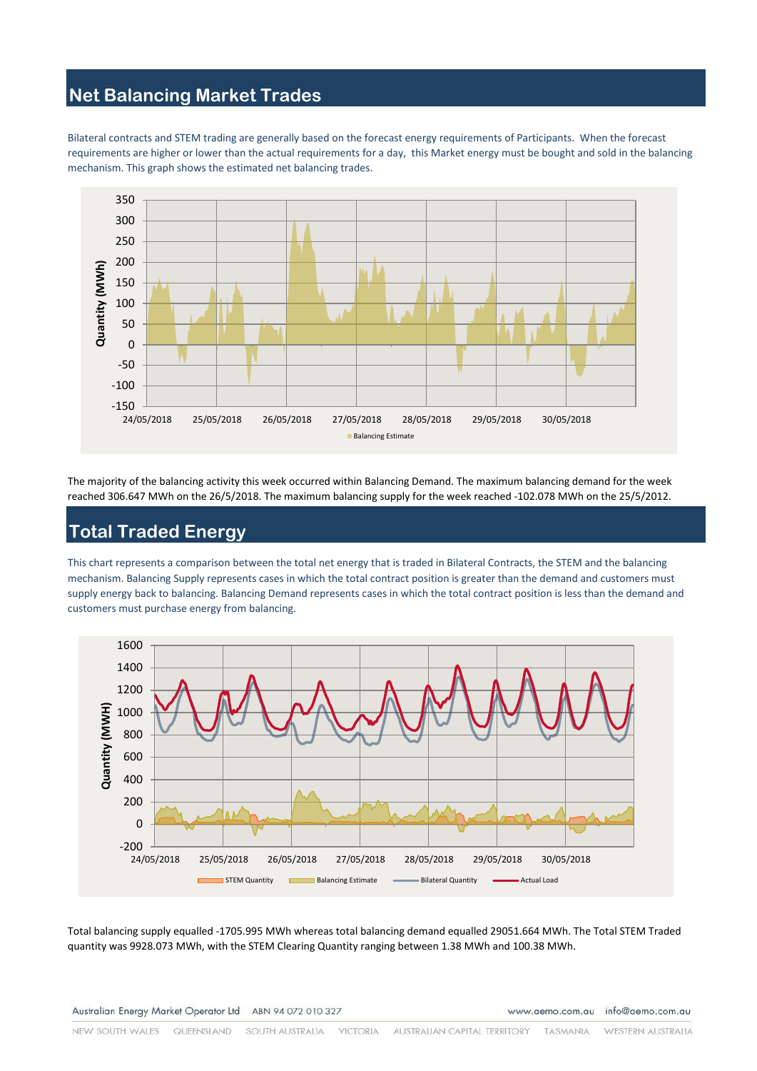#### **Net Balancing Market Trades**

Bilateral contracts and STEM trading are generally based on the forecast energy requirements of Participants. When the forecast requirements are higher or lower than the actual requirements for a day, this Market energy must be bought and sold in the balancing mechanism. This graph shows the estimated net balancing trades.



The majority of the balancing activity this week occurred within Balancing Demand. The maximum balancing demand for the week reached 306.647 MWh on the 26/5/2018. The maximum balancing supply for the week reached -102.078 MWh on the 25/5/2012.

# **Total Traded Energy**

This chart represents a comparison between the total net energy that is traded in Bilateral Contracts, the STEM and the balancing mechanism. Balancing Supply represents cases in which the total contract position is greater than the demand and customers must supply energy back to balancing. Balancing Demand represents cases in which the total contract position is less than the demand and customers must purchase energy from balancing.



Total balancing supply equalled -1705.995 MWh whereas total balancing demand equalled 29051.664 MWh. The Total STEM Traded quantity was 9928.073 MWh, with the STEM Clearing Quantity ranging between 1.38 MWh and 100.38 MWh.

Australian Energy Market Operator Ltd ABN 94 072 010 327